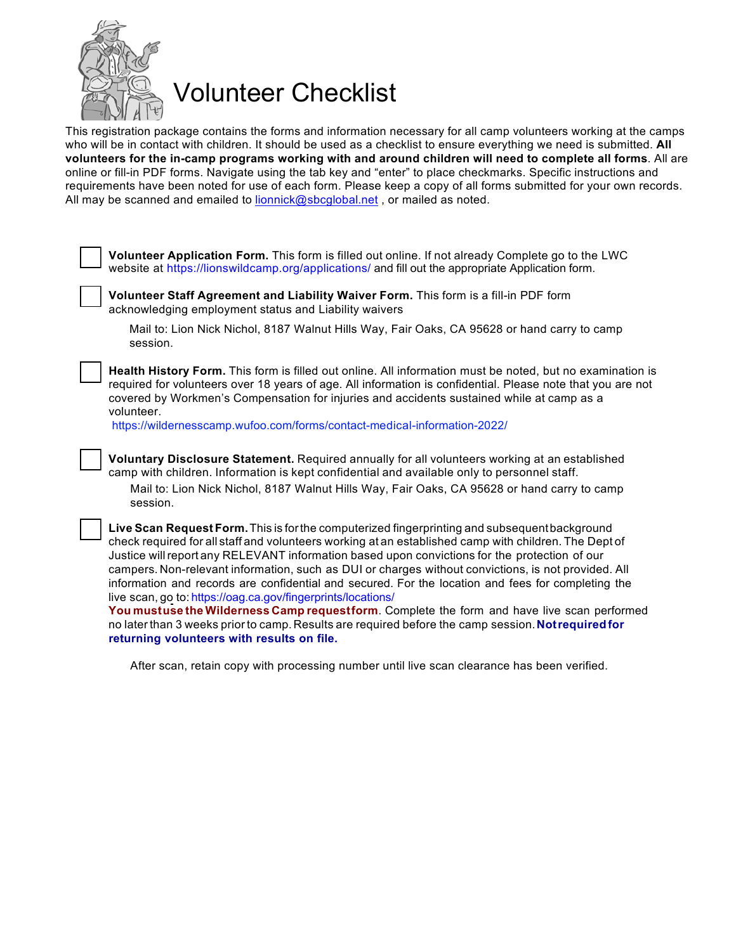

Volunteer Checklist

This registration package contains the forms and information necessary for all camp volunteers working at the camps who will be in contact with children. It should be used as a checklist to ensure everything we need is submitted. **All volunteers for the in-camp programs working with and around children will need to complete all forms**. All are online or fill-in PDF forms. Navigate using the tab key and "enter" to place checkmarks. Specific instructions and requirements have been noted for use of each form. Please keep a copy of all forms submitted for your own records. All may be scanned and emailed to lionnick@sbcqlobal.net, or mailed as noted.

**Volunteer Application Form.** This form is filled out online. If not already Complete go to the LWC website at <https://lionswildcamp.org/applications/> and fill out the appropriate Application form. **Volunteer Staff Agreement and Liability Waiver Form.** This form is a fill-in PDF form acknowledging employment status and Liability waivers Mail to: Lion Nick Nichol, 8187 Walnut Hills Way, Fair Oaks, CA 95628 or hand carry to camp session. **Health History Form.** This form is filled out online. All information must be noted, but no examination is required for volunteers over 18 years of age. All information is confidential. Please note that you are not covered by Workmen's Compensation for injuries and accidents sustained while at camp as a volunteer. [https://wildernesscamp.wufoo.com/forms/contact-medical-information-202](https://wildernesscamp.wufoo.com/forms/contact-medical-information-2022/)2/ **Voluntary Disclosure Statement.** Required annually for all volunteers working at an established camp with children. Information is kept confidential and available only to personnel staff. Mail to: Lion Nick Nichol, 8187 Walnut Hills Way, Fair Oaks, CA 95628 or hand carry to camp session. **Live Scan Request Form.**This is forthe computerized fingerprinting and subsequentbackground check required for all staff and volunteers working at an established camp with children. The Dept of Justice will report any RELEVANT information based upon convictions for the protection of our campers. Non-relevant information, such as DUI or charges without convictions, is not provided. All information and records are confidential and secured. For the location and fees for completing the live scan, go to: [https://oag.ca.gov/fingerprints/locations/](https://oag.ca.gov/fingerprints/locations) **You mustuse the Wilderness Camp requestform**. Complete the form and have live scan performed no laterthan 3 weeks priorto camp. Results are required before the camp session.**Notrequiredfor returning volunteers with results on file.**

After scan, retain copy with processing number until live scan clearance has been verified.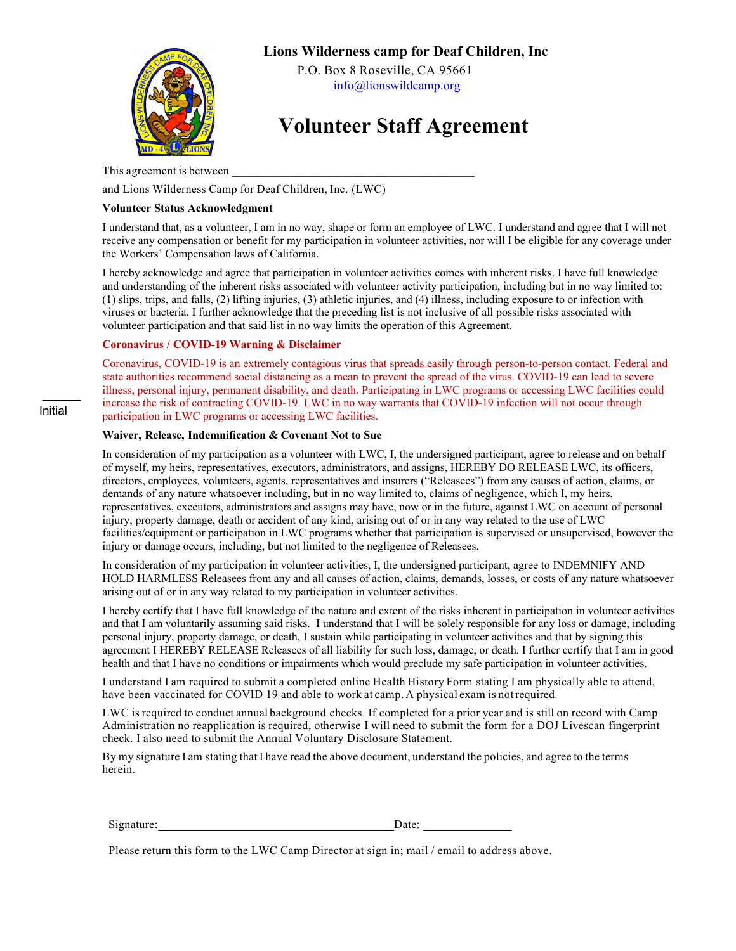

### **Lions Wilderness camp for Deaf Children, Inc**

P.O. Box 8 Roseville, CA 95661 info@lionswildcamp.org

# **Volunteer Staff Agreement**

This agreement is between

and Lions Wilderness Camp for Deaf Children, Inc. (LWC)

#### **Volunteer Status Acknowledgment**

I understand that, as a volunteer, I am in no way, shape or form an employee of LWC. I understand and agree that I will not receive any compensation or benefit for my participation in volunteer activities, nor will I be eligible for any coverage under the Workers' Compensation laws of California.

I hereby acknowledge and agree that participation in volunteer activities comes with inherent risks. I have full knowledge and understanding of the inherent risks associated with volunteer activity participation, including but in no way limited to: (1) slips, trips, and falls, (2) lifting injuries, (3) athletic injuries, and (4) illness, including exposure to or infection with viruses or bacteria. I further acknowledge that the preceding list is not inclusive of all possible risks associated with volunteer participation and that said list in no way limits the operation of this Agreement.

#### **Coronavirus / COVID-19 Warning & Disclaimer**

Coronavirus, COVID-19 is an extremely contagious virus that spreads easily through person-to-person contact. Federal and state authorities recommend social distancing as a mean to prevent the spread of the virus. COVID-19 can lead to severe illness, personal injury, permanent disability, and death. Participating in LWC programs or accessing LWC facilities could increase the risk of contracting COVID-19. LWC in no way warrants that COVID-19 infection will not occur through participation in LWC programs or accessing LWC facilities.

#### **Waiver, Release, Indemnification & Covenant Not to Sue**

In consideration of my participation as a volunteer with LWC, I, the undersigned participant, agree to release and on behalf of myself, my heirs, representatives, executors, administrators, and assigns, HEREBY DO RELEASE LWC, its officers, directors, employees, volunteers, agents, representatives and insurers ("Releasees") from any causes of action, claims, or demands of any nature whatsoever including, but in no way limited to, claims of negligence, which I, my heirs, representatives, executors, administrators and assigns may have, now or in the future, against LWC on account of personal injury, property damage, death or accident of any kind, arising out of or in any way related to the use of LWC facilities/equipment or participation in LWC programs whether that participation is supervised or unsupervised, however the injury or damage occurs, including, but not limited to the negligence of Releasees.

In consideration of my participation in volunteer activities, I, the undersigned participant, agree to INDEMNIFY AND HOLD HARMLESS Releasees from any and all causes of action, claims, demands, losses, or costs of any nature whatsoever arising out of or in any way related to my participation in volunteer activities.

I hereby certify that I have full knowledge of the nature and extent of the risks inherent in participation in volunteer activities and that I am voluntarily assuming said risks. I understand that I will be solely responsible for any loss or damage, including personal injury, property damage, or death, I sustain while participating in volunteer activities and that by signing this agreement I HEREBY RELEASE Releasees of all liability for such loss, damage, or death. I further certify that I am in good health and that I have no conditions or impairments which would preclude my safe participation in volunteer activities.

I understand I am required to submit a completed online Health History Form stating I am physically able to attend, have been vaccinated for COVID 19 and able to work at camp. A physical exam is notrequired.

LWC is required to conduct annual background checks. If completed for a prior year and is still on record with Camp Administration no reapplication is required, otherwise I will need to submit the form for a DOJ Livescan fingerprint check. I also need to submit the Annual Voluntary Disclosure Statement.

By my signature I am stating that I have read the above document, understand the policies, and agree to the terms herein.

| Signature: | Jate: |  |
|------------|-------|--|
|            |       |  |

Please return this form to the LWC Camp Director at sign in; mail / email to address above.

Initial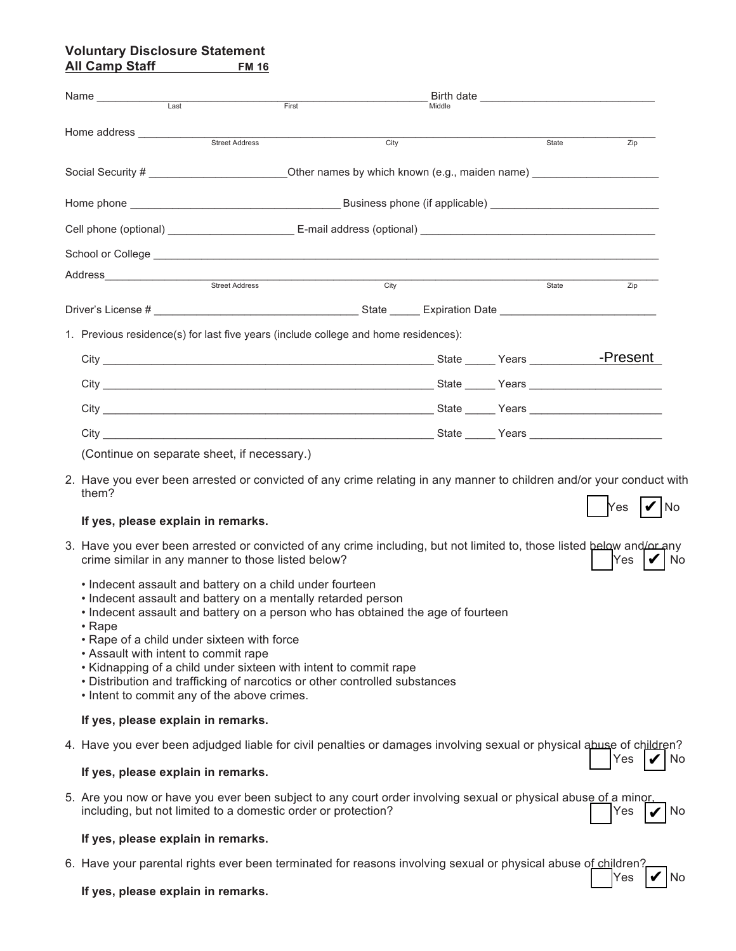### **Voluntary Disclosure Statement All Camp Staff**

|                                                                                                                               | Name<br>$\overline{\phantom{0}}$ Last                                                                                                                                                                                                                                                                                                                                                                                                                                                                        | First                                                                                                                |        |       |                 |  |
|-------------------------------------------------------------------------------------------------------------------------------|--------------------------------------------------------------------------------------------------------------------------------------------------------------------------------------------------------------------------------------------------------------------------------------------------------------------------------------------------------------------------------------------------------------------------------------------------------------------------------------------------------------|----------------------------------------------------------------------------------------------------------------------|--------|-------|-----------------|--|
|                                                                                                                               |                                                                                                                                                                                                                                                                                                                                                                                                                                                                                                              |                                                                                                                      | Middle |       |                 |  |
|                                                                                                                               |                                                                                                                                                                                                                                                                                                                                                                                                                                                                                                              | City                                                                                                                 |        | State | Zip             |  |
|                                                                                                                               |                                                                                                                                                                                                                                                                                                                                                                                                                                                                                                              |                                                                                                                      |        |       |                 |  |
|                                                                                                                               |                                                                                                                                                                                                                                                                                                                                                                                                                                                                                                              |                                                                                                                      |        |       |                 |  |
|                                                                                                                               |                                                                                                                                                                                                                                                                                                                                                                                                                                                                                                              |                                                                                                                      |        |       |                 |  |
|                                                                                                                               |                                                                                                                                                                                                                                                                                                                                                                                                                                                                                                              |                                                                                                                      |        |       |                 |  |
|                                                                                                                               |                                                                                                                                                                                                                                                                                                                                                                                                                                                                                                              | <u> 1989 - Johann John Stone, markin film ar yn y breninnas yn y breninnas y breninnas y breninnas y breninnas y</u> |        |       |                 |  |
|                                                                                                                               | Street Address                                                                                                                                                                                                                                                                                                                                                                                                                                                                                               | City                                                                                                                 |        | State | Zip             |  |
|                                                                                                                               |                                                                                                                                                                                                                                                                                                                                                                                                                                                                                                              |                                                                                                                      |        |       |                 |  |
|                                                                                                                               | 1. Previous residence(s) for last five years (include college and home residences):                                                                                                                                                                                                                                                                                                                                                                                                                          |                                                                                                                      |        |       |                 |  |
|                                                                                                                               |                                                                                                                                                                                                                                                                                                                                                                                                                                                                                                              |                                                                                                                      |        |       | -Present        |  |
|                                                                                                                               |                                                                                                                                                                                                                                                                                                                                                                                                                                                                                                              |                                                                                                                      |        |       |                 |  |
|                                                                                                                               |                                                                                                                                                                                                                                                                                                                                                                                                                                                                                                              |                                                                                                                      |        |       |                 |  |
|                                                                                                                               |                                                                                                                                                                                                                                                                                                                                                                                                                                                                                                              |                                                                                                                      |        |       |                 |  |
|                                                                                                                               | (Continue on separate sheet, if necessary.)                                                                                                                                                                                                                                                                                                                                                                                                                                                                  |                                                                                                                      |        |       |                 |  |
| 2. Have you ever been arrested or convicted of any crime relating in any manner to children and/or your conduct with<br>them? |                                                                                                                                                                                                                                                                                                                                                                                                                                                                                                              |                                                                                                                      |        |       |                 |  |
|                                                                                                                               | If yes, please explain in remarks.                                                                                                                                                                                                                                                                                                                                                                                                                                                                           |                                                                                                                      |        |       | Yes<br>$ V $ No |  |
|                                                                                                                               | 3. Have you ever been arrested or convicted of any crime including, but not limited to, those listed below and/or any<br>crime similar in any manner to those listed below?                                                                                                                                                                                                                                                                                                                                  |                                                                                                                      |        |       | Yes<br>No       |  |
|                                                                                                                               | • Indecent assault and battery on a child under fourteen<br>• Indecent assault and battery on a mentally retarded person<br>• Indecent assault and battery on a person who has obtained the age of fourteen<br>• Rape<br>• Rape of a child under sixteen with force<br>• Assault with intent to commit rape<br>• Kidnapping of a child under sixteen with intent to commit rape<br>• Distribution and trafficking of narcotics or other controlled substances<br>• Intent to commit any of the above crimes. |                                                                                                                      |        |       |                 |  |
|                                                                                                                               | If yes, please explain in remarks.                                                                                                                                                                                                                                                                                                                                                                                                                                                                           |                                                                                                                      |        |       |                 |  |
|                                                                                                                               | 4. Have you ever been adjudged liable for civil penalties or damages involving sexual or physical abuse of children?                                                                                                                                                                                                                                                                                                                                                                                         |                                                                                                                      |        |       | Yes<br>No       |  |
|                                                                                                                               | If yes, please explain in remarks.                                                                                                                                                                                                                                                                                                                                                                                                                                                                           |                                                                                                                      |        |       |                 |  |
|                                                                                                                               | 5. Are you now or have you ever been subject to any court order involving sexual or physical abuse of a minor<br>including, but not limited to a domestic order or protection?                                                                                                                                                                                                                                                                                                                               |                                                                                                                      |        |       | Yes<br>No       |  |
|                                                                                                                               | If yes, please explain in remarks.                                                                                                                                                                                                                                                                                                                                                                                                                                                                           |                                                                                                                      |        |       |                 |  |

6. Have your parental rights ever been terminated for reasons involving sexual or physical abuse of children?

 $\bigcap$ Yes  $\big|\nabla\big|$ No

**If yes, please explain in remarks.**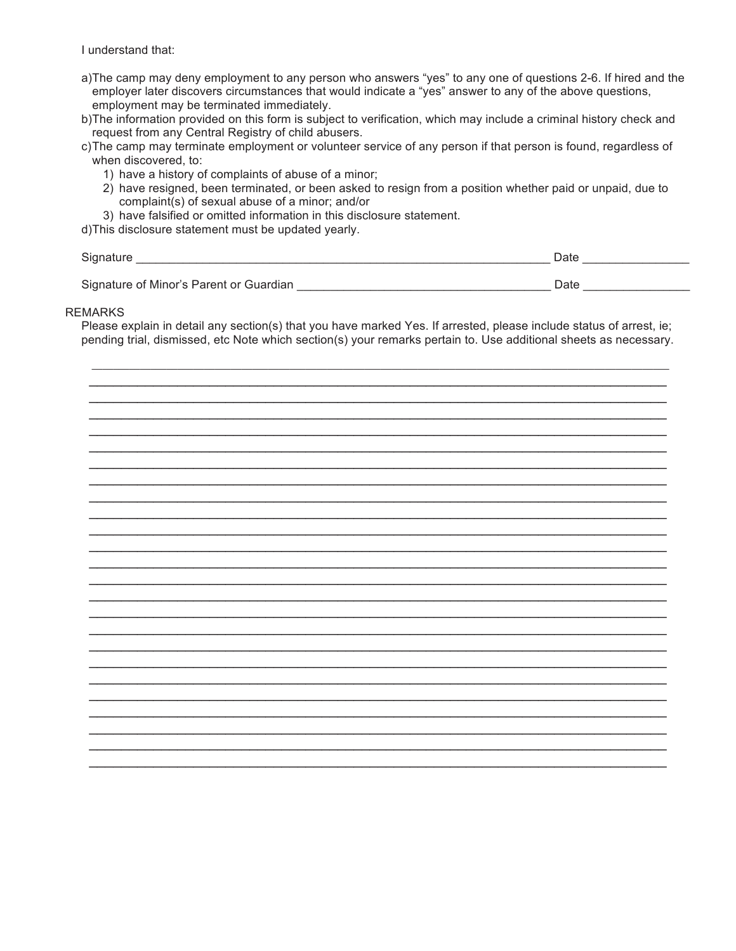I understand that:

| a)The camp may deny employment to any person who answers "yes" to any one of questions 2-6. If hired and the |
|--------------------------------------------------------------------------------------------------------------|
| employer later discovers circumstances that would indicate a "yes" answer to any of the above questions,     |
| employment may be terminated immediately.                                                                    |

- b)The information provided on this form is subject to verification, which may include a criminal history check and request from any Central Registry of child abusers.
- c)The camp may terminate employment or volunteer service of any person if that person is found, regardless of when discovered, to:
	- 1) have a history of complaints of abuse of a minor;
	- 2) have resigned, been terminated, or been asked to resign from a position whether paid or unpaid, due to complaint(s) of sexual abuse of a minor; and/or
	- 3) have falsified or omitted information in this disclosure statement.

d)This disclosure statement must be updated yearly.

| Signature                               | Date |  |
|-----------------------------------------|------|--|
|                                         |      |  |
| Signature of Minor's Parent or Guardian | Date |  |

#### REMARKS

Please explain in detail any section(s) that you have marked Yes. If arrested, please include status of arrest, ie; pending trial, dismissed, etc Note which section(s) your remarks pertain to. Use additional sheets as necessary.

 $\_$  , and the state of the state of the state of the state of the state of the state of the state of the state of the state of the state of the state of the state of the state of the state of the state of the state of the \_\_\_\_\_\_\_\_\_\_\_\_\_\_\_\_\_\_\_\_\_\_\_\_\_\_\_\_\_\_\_\_\_\_\_\_\_\_\_\_\_\_\_\_\_\_\_\_\_\_\_\_\_\_\_\_\_\_\_\_\_\_\_\_\_\_\_\_\_\_\_\_ \_\_\_\_\_\_\_\_\_\_\_\_\_\_\_\_\_\_\_\_\_\_\_\_\_\_\_\_\_\_\_\_\_\_\_\_\_\_\_\_\_\_\_\_\_\_\_\_\_\_\_\_\_\_\_\_\_\_\_\_\_\_\_\_\_\_\_\_\_\_\_\_ \_\_\_\_\_\_\_\_\_\_\_\_\_\_\_\_\_\_\_\_\_\_\_\_\_\_\_\_\_\_\_\_\_\_\_\_\_\_\_\_\_\_\_\_\_\_\_\_\_\_\_\_\_\_\_\_\_\_\_\_\_\_\_\_\_\_\_\_\_\_\_\_ \_\_\_\_\_\_\_\_\_\_\_\_\_\_\_\_\_\_\_\_\_\_\_\_\_\_\_\_\_\_\_\_\_\_\_\_\_\_\_\_\_\_\_\_\_\_\_\_\_\_\_\_\_\_\_\_\_\_\_\_\_\_\_\_\_\_\_\_\_\_\_\_ \_\_\_\_\_\_\_\_\_\_\_\_\_\_\_\_\_\_\_\_\_\_\_\_\_\_\_\_\_\_\_\_\_\_\_\_\_\_\_\_\_\_\_\_\_\_\_\_\_\_\_\_\_\_\_\_\_\_\_\_\_\_\_\_\_\_\_\_\_\_\_\_ \_\_\_\_\_\_\_\_\_\_\_\_\_\_\_\_\_\_\_\_\_\_\_\_\_\_\_\_\_\_\_\_\_\_\_\_\_\_\_\_\_\_\_\_\_\_\_\_\_\_\_\_\_\_\_\_\_\_\_\_\_\_\_\_\_\_\_\_\_\_\_\_ \_\_\_\_\_\_\_\_\_\_\_\_\_\_\_\_\_\_\_\_\_\_\_\_\_\_\_\_\_\_\_\_\_\_\_\_\_\_\_\_\_\_\_\_\_\_\_\_\_\_\_\_\_\_\_\_\_\_\_\_\_\_\_\_\_\_\_\_\_\_\_\_ \_\_\_\_\_\_\_\_\_\_\_\_\_\_\_\_\_\_\_\_\_\_\_\_\_\_\_\_\_\_\_\_\_\_\_\_\_\_\_\_\_\_\_\_\_\_\_\_\_\_\_\_\_\_\_\_\_\_\_\_\_\_\_\_\_\_\_\_\_\_\_\_ \_\_\_\_\_\_\_\_\_\_\_\_\_\_\_\_\_\_\_\_\_\_\_\_\_\_\_\_\_\_\_\_\_\_\_\_\_\_\_\_\_\_\_\_\_\_\_\_\_\_\_\_\_\_\_\_\_\_\_\_\_\_\_\_\_\_\_\_\_\_\_\_ \_\_\_\_\_\_\_\_\_\_\_\_\_\_\_\_\_\_\_\_\_\_\_\_\_\_\_\_\_\_\_\_\_\_\_\_\_\_\_\_\_\_\_\_\_\_\_\_\_\_\_\_\_\_\_\_\_\_\_\_\_\_\_\_\_\_\_\_\_\_\_\_ \_\_\_\_\_\_\_\_\_\_\_\_\_\_\_\_\_\_\_\_\_\_\_\_\_\_\_\_\_\_\_\_\_\_\_\_\_\_\_\_\_\_\_\_\_\_\_\_\_\_\_\_\_\_\_\_\_\_\_\_\_\_\_\_\_\_\_\_\_\_\_\_ \_\_\_\_\_\_\_\_\_\_\_\_\_\_\_\_\_\_\_\_\_\_\_\_\_\_\_\_\_\_\_\_\_\_\_\_\_\_\_\_\_\_\_\_\_\_\_\_\_\_\_\_\_\_\_\_\_\_\_\_\_\_\_\_\_\_\_\_\_\_\_\_ \_\_\_\_\_\_\_\_\_\_\_\_\_\_\_\_\_\_\_\_\_\_\_\_\_\_\_\_\_\_\_\_\_\_\_\_\_\_\_\_\_\_\_\_\_\_\_\_\_\_\_\_\_\_\_\_\_\_\_\_\_\_\_\_\_\_\_\_\_\_\_\_ \_\_\_\_\_\_\_\_\_\_\_\_\_\_\_\_\_\_\_\_\_\_\_\_\_\_\_\_\_\_\_\_\_\_\_\_\_\_\_\_\_\_\_\_\_\_\_\_\_\_\_\_\_\_\_\_\_\_\_\_\_\_\_\_\_\_\_\_\_\_\_\_ \_\_\_\_\_\_\_\_\_\_\_\_\_\_\_\_\_\_\_\_\_\_\_\_\_\_\_\_\_\_\_\_\_\_\_\_\_\_\_\_\_\_\_\_\_\_\_\_\_\_\_\_\_\_\_\_\_\_\_\_\_\_\_\_\_\_\_\_\_\_\_\_ \_\_\_\_\_\_\_\_\_\_\_\_\_\_\_\_\_\_\_\_\_\_\_\_\_\_\_\_\_\_\_\_\_\_\_\_\_\_\_\_\_\_\_\_\_\_\_\_\_\_\_\_\_\_\_\_\_\_\_\_\_\_\_\_\_\_\_\_\_\_\_\_ \_\_\_\_\_\_\_\_\_\_\_\_\_\_\_\_\_\_\_\_\_\_\_\_\_\_\_\_\_\_\_\_\_\_\_\_\_\_\_\_\_\_\_\_\_\_\_\_\_\_\_\_\_\_\_\_\_\_\_\_\_\_\_\_\_\_\_\_\_\_\_\_ \_\_\_\_\_\_\_\_\_\_\_\_\_\_\_\_\_\_\_\_\_\_\_\_\_\_\_\_\_\_\_\_\_\_\_\_\_\_\_\_\_\_\_\_\_\_\_\_\_\_\_\_\_\_\_\_\_\_\_\_\_\_\_\_\_\_\_\_\_\_\_\_ \_\_\_\_\_\_\_\_\_\_\_\_\_\_\_\_\_\_\_\_\_\_\_\_\_\_\_\_\_\_\_\_\_\_\_\_\_\_\_\_\_\_\_\_\_\_\_\_\_\_\_\_\_\_\_\_\_\_\_\_\_\_\_\_\_\_\_\_\_\_\_\_ \_\_\_\_\_\_\_\_\_\_\_\_\_\_\_\_\_\_\_\_\_\_\_\_\_\_\_\_\_\_\_\_\_\_\_\_\_\_\_\_\_\_\_\_\_\_\_\_\_\_\_\_\_\_\_\_\_\_\_\_\_\_\_\_\_\_\_\_\_\_\_\_ \_\_\_\_\_\_\_\_\_\_\_\_\_\_\_\_\_\_\_\_\_\_\_\_\_\_\_\_\_\_\_\_\_\_\_\_\_\_\_\_\_\_\_\_\_\_\_\_\_\_\_\_\_\_\_\_\_\_\_\_\_\_\_\_\_\_\_\_\_\_\_\_ \_\_\_\_\_\_\_\_\_\_\_\_\_\_\_\_\_\_\_\_\_\_\_\_\_\_\_\_\_\_\_\_\_\_\_\_\_\_\_\_\_\_\_\_\_\_\_\_\_\_\_\_\_\_\_\_\_\_\_\_\_\_\_\_\_\_\_\_\_\_\_\_ \_\_\_\_\_\_\_\_\_\_\_\_\_\_\_\_\_\_\_\_\_\_\_\_\_\_\_\_\_\_\_\_\_\_\_\_\_\_\_\_\_\_\_\_\_\_\_\_\_\_\_\_\_\_\_\_\_\_\_\_\_\_\_\_\_\_\_\_\_\_\_\_ \_\_\_\_\_\_\_\_\_\_\_\_\_\_\_\_\_\_\_\_\_\_\_\_\_\_\_\_\_\_\_\_\_\_\_\_\_\_\_\_\_\_\_\_\_\_\_\_\_\_\_\_\_\_\_\_\_\_\_\_\_\_\_\_\_\_\_\_\_\_\_\_